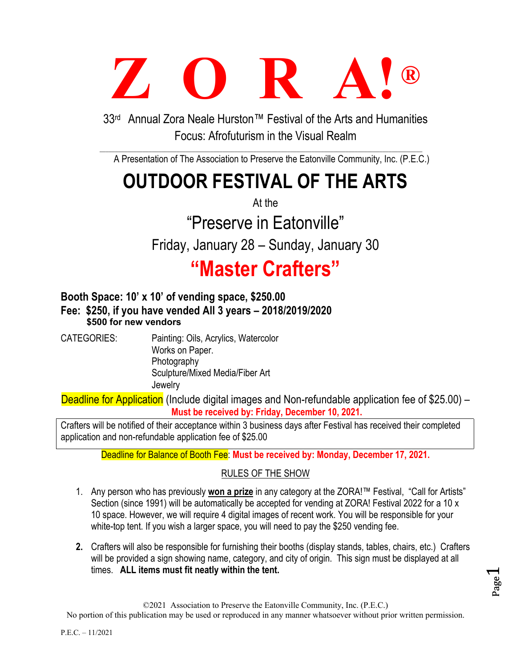# **Z O R A! ®**

33rd Annual Zora Neale Hurston™ Festival of the Arts and Humanities Focus: Afrofuturism in the Visual Realm

A Presentation of The Association to Preserve the Eatonville Community, Inc. (P.E.C.)

# **OUTDOOR FESTIVAL OF THE ARTS**

At the

"Preserve in Eatonville"

Friday, January 28 – Sunday, January 30

# **"Master Crafters"**

## **Booth Space: 10' x 10' of vending space, \$250.00 Fee: \$250, if you have vended All 3 years – 2018/2019/2020 \$500 for new vendors**

CATEGORIES: Painting: Oils, Acrylics, Watercolor Works on Paper. Photography Sculpture/Mixed Media/Fiber Art **Jewelry** 

Deadline for Application (Include digital images and Non-refundable application fee of \$25.00) – **Must be received by: Friday, December 10, 2021.**

Crafters will be notified of their acceptance within 3 business days after Festival has received their completed application and non-refundable application fee of \$25.00

Deadline for Balance of Booth Fee: **Must be received by: Monday, December 17, 2021.**

## RULES OF THE SHOW

- 1. Any person who has previously **won a prize** in any category at the ZORA!™ Festival, "Call for Artists" Section (since 1991) will be automatically be accepted for vending at ZORA! Festival 2022 for a 10 x 10 space. However, we will require 4 digital images of recent work. You will be responsible for your white-top tent. If you wish a larger space, you will need to pay the \$250 vending fee.
- **2.** Crafters will also be responsible for furnishing their booths (display stands, tables, chairs, etc.) Crafters will be provided a sign showing name, category, and city of origin. This sign must be displayed at all times. **ALL items must fit neatly within the tent.**

Page  $\overline{\phantom{0}}$ 

©2021 Association to Preserve the Eatonville Community, Inc. (P.E.C.)

No portion of this publication may be used or reproduced in any manner whatsoever without prior written permission.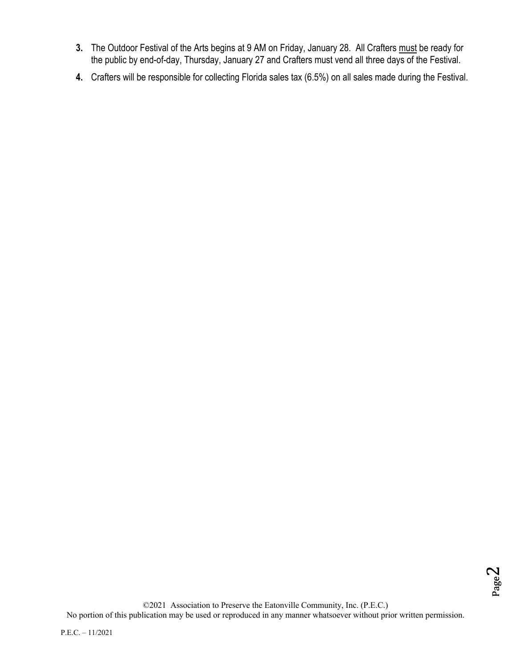- **3.** The Outdoor Festival of the Arts begins at 9 AM on Friday, January 28. All Crafters must be ready for the public by end-of-day, Thursday, January 27 and Crafters must vend all three days of the Festival.
- **4.** Crafters will be responsible for collecting Florida sales tax (6.5%) on all sales made during the Festival.

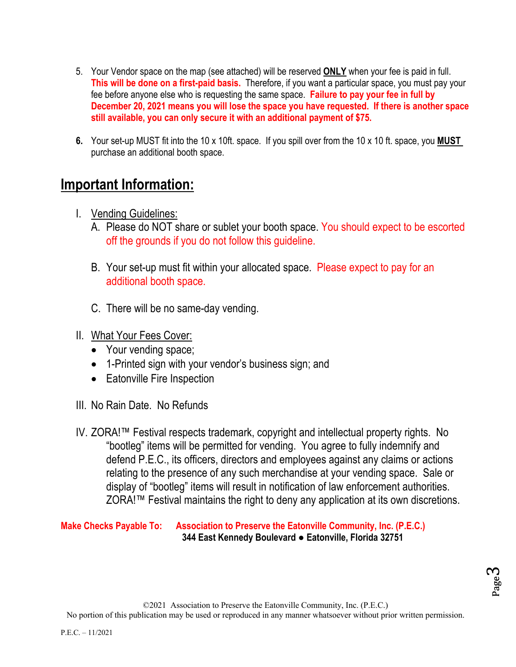- 5. Your Vendor space on the map (see attached) will be reserved **ONLY** when your fee is paid in full. **This will be done on a first-paid basis.** Therefore, if you want a particular space, you must pay your fee before anyone else who is requesting the same space. **Failure to pay your fee in full by December 20, 2021 means you will lose the space you have requested. If there is another space still available, you can only secure it with an additional payment of \$75.**
- **6.** Your set-up MUST fit into the 10 x 10ft. space. If you spill over from the 10 x 10 ft. space, you **MUST**  purchase an additional booth space.

## **Important Information:**

- I. Vending Guidelines:
	- A. Please do NOT share or sublet your booth space. You should expect to be escorted off the grounds if you do not follow this guideline.
	- B. Your set-up must fit within your allocated space. Please expect to pay for an additional booth space.
	- C. There will be no same-day vending.
- II. What Your Fees Cover:
	- Your vending space;
	- 1-Printed sign with your vendor's business sign; and
	- Eatonville Fire Inspection
- III. No Rain Date. No Refunds
- IV. ZORA!™ Festival respects trademark, copyright and intellectual property rights. No "bootleg" items will be permitted for vending. You agree to fully indemnify and defend P.E.C., its officers, directors and employees against any claims or actions relating to the presence of any such merchandise at your vending space. Sale or display of "bootleg" items will result in notification of law enforcement authorities. ZORA!™ Festival maintains the right to deny any application at its own discretions.

#### **Make Checks Payable To: Association to Preserve the Eatonville Community, Inc. (P.E.C.) 344 East Kennedy Boulevard ● Eatonville, Florida 32751**